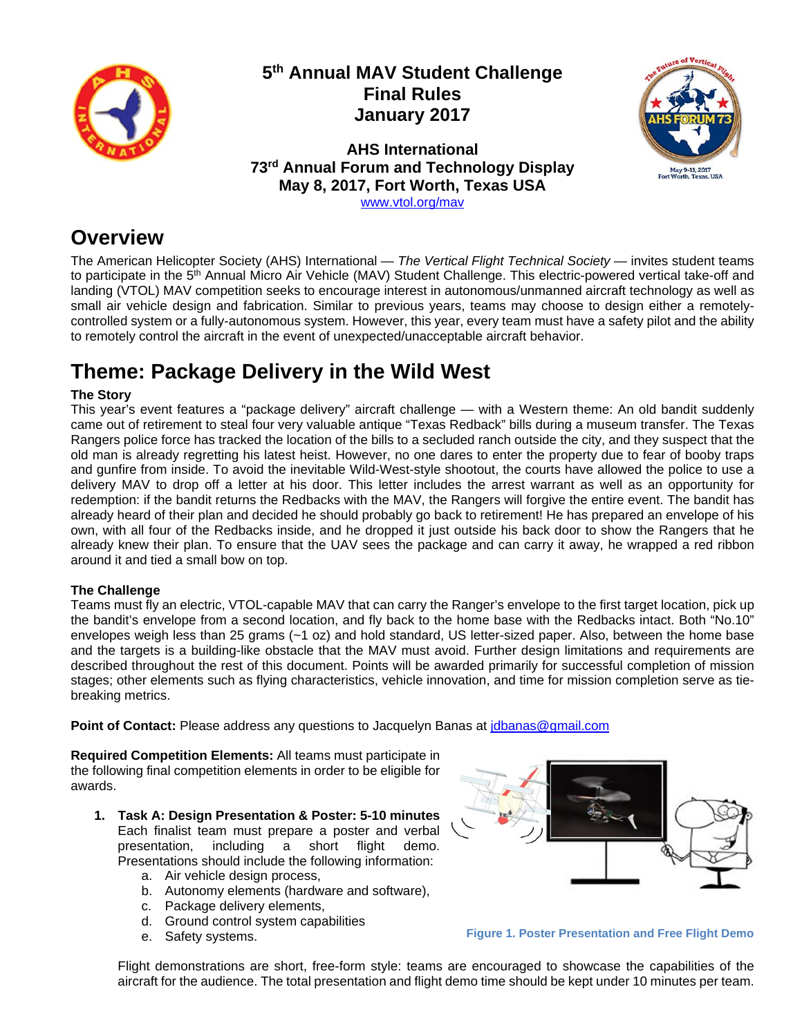

## **5th Annual MAV Student Challenge Final Rules January 2017**

**AHS International 73rd Annual Forum and Technology Display May 8, 2017, Fort Worth, Texas USA** 



www.vtol.org/mav

## **Overview**

The American Helicopter Society (AHS) International — *The Vertical Flight Technical Society* — invites student teams to participate in the 5<sup>th</sup> Annual Micro Air Vehicle (MAV) Student Challenge. This electric-powered vertical take-off and landing (VTOL) MAV competition seeks to encourage interest in autonomous/unmanned aircraft technology as well as small air vehicle design and fabrication. Similar to previous years, teams may choose to design either a remotelycontrolled system or a fully-autonomous system. However, this year, every team must have a safety pilot and the ability to remotely control the aircraft in the event of unexpected/unacceptable aircraft behavior.

# **Theme: Package Delivery in the Wild West**

#### **The Story**

This year's event features a "package delivery" aircraft challenge — with a Western theme: An old bandit suddenly came out of retirement to steal four very valuable antique "Texas Redback" bills during a museum transfer. The Texas Rangers police force has tracked the location of the bills to a secluded ranch outside the city, and they suspect that the old man is already regretting his latest heist. However, no one dares to enter the property due to fear of booby traps and gunfire from inside. To avoid the inevitable Wild-West-style shootout, the courts have allowed the police to use a delivery MAV to drop off a letter at his door. This letter includes the arrest warrant as well as an opportunity for redemption: if the bandit returns the Redbacks with the MAV, the Rangers will forgive the entire event. The bandit has already heard of their plan and decided he should probably go back to retirement! He has prepared an envelope of his own, with all four of the Redbacks inside, and he dropped it just outside his back door to show the Rangers that he already knew their plan. To ensure that the UAV sees the package and can carry it away, he wrapped a red ribbon around it and tied a small bow on top.

#### **The Challenge**

Teams must fly an electric, VTOL-capable MAV that can carry the Ranger's envelope to the first target location, pick up the bandit's envelope from a second location, and fly back to the home base with the Redbacks intact. Both "No.10" envelopes weigh less than 25 grams (~1 oz) and hold standard, US letter-sized paper. Also, between the home base and the targets is a building-like obstacle that the MAV must avoid. Further design limitations and requirements are described throughout the rest of this document. Points will be awarded primarily for successful completion of mission stages; other elements such as flying characteristics, vehicle innovation, and time for mission completion serve as tiebreaking metrics.

**Point of Contact:** Please address any questions to Jacquelyn Banas at *jdbanas@gmail.com* 

**Required Competition Elements:** All teams must participate in the following final competition elements in order to be eligible for awards.

- **1. Task A: Design Presentation & Poster: 5-10 minutes** Each finalist team must prepare a poster and verbal presentation, including a short flight demo. Presentations should include the following information:
	- a. Air vehicle design process,
	- b. Autonomy elements (hardware and software),
	- c. Package delivery elements,
	- d. Ground control system capabilities
	- e. Safety systems.



**Figure 1. Poster Presentation and Free Flight Demo**

Flight demonstrations are short, free-form style: teams are encouraged to showcase the capabilities of the aircraft for the audience. The total presentation and flight demo time should be kept under 10 minutes per team.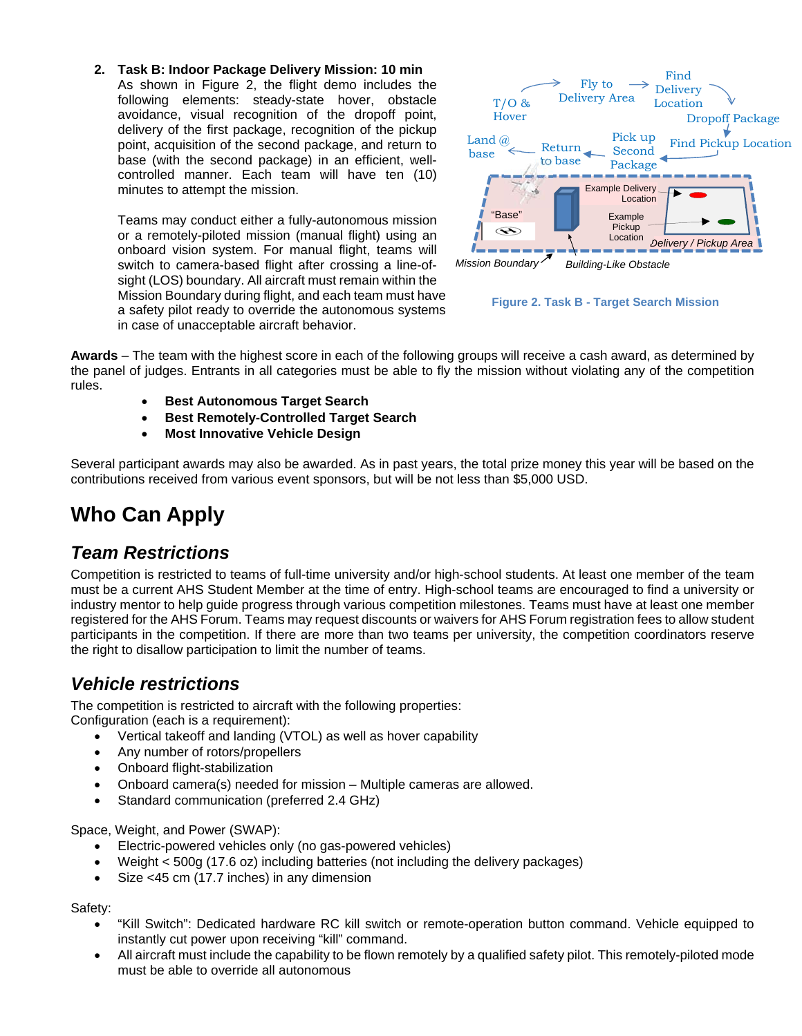**2. Task B: Indoor Package Delivery Mission: 10 min** As shown in Figure 2, the flight demo includes the following elements: steady-state hover, obstacle avoidance, visual recognition of the dropoff point, delivery of the first package, recognition of the pickup point, acquisition of the second package, and return to base (with the second package) in an efficient, wellcontrolled manner. Each team will have ten (10) minutes to attempt the mission.

Teams may conduct either a fully-autonomous mission or a remotely-piloted mission (manual flight) using an onboard vision system. For manual flight, teams will switch to camera-based flight after crossing a line-ofsight (LOS) boundary. All aircraft must remain within the Mission Boundary during flight, and each team must have a safety pilot ready to override the autonomous systems in case of unacceptable aircraft behavior.



**Figure 2. Task B - Target Search Mission**

**Awards** – The team with the highest score in each of the following groups will receive a cash award, as determined by the panel of judges. Entrants in all categories must be able to fly the mission without violating any of the competition rules.

- **Best Autonomous Target Search**
- **Best Remotely-Controlled Target Search**
- **Most Innovative Vehicle Design**

Several participant awards may also be awarded. As in past years, the total prize money this year will be based on the contributions received from various event sponsors, but will be not less than \$5,000 USD.

# **Who Can Apply**

### *Team Restrictions*

Competition is restricted to teams of full-time university and/or high-school students. At least one member of the team must be a current AHS Student Member at the time of entry. High-school teams are encouraged to find a university or industry mentor to help guide progress through various competition milestones. Teams must have at least one member registered for the AHS Forum. Teams may request discounts or waivers for AHS Forum registration fees to allow student participants in the competition. If there are more than two teams per university, the competition coordinators reserve the right to disallow participation to limit the number of teams.

### *Vehicle restrictions*

The competition is restricted to aircraft with the following properties: Configuration (each is a requirement):

- Vertical takeoff and landing (VTOL) as well as hover capability
- Any number of rotors/propellers
- Onboard flight-stabilization
- Onboard camera(s) needed for mission Multiple cameras are allowed.
- Standard communication (preferred 2.4 GHz)

Space, Weight, and Power (SWAP):

- Electric-powered vehicles only (no gas-powered vehicles)
- Weight < 500g (17.6 oz) including batteries (not including the delivery packages)
- Size <45 cm (17.7 inches) in any dimension

Safety:

- "Kill Switch": Dedicated hardware RC kill switch or remote-operation button command. Vehicle equipped to instantly cut power upon receiving "kill" command.
- All aircraft must include the capability to be flown remotely by a qualified safety pilot. This remotely-piloted mode must be able to override all autonomous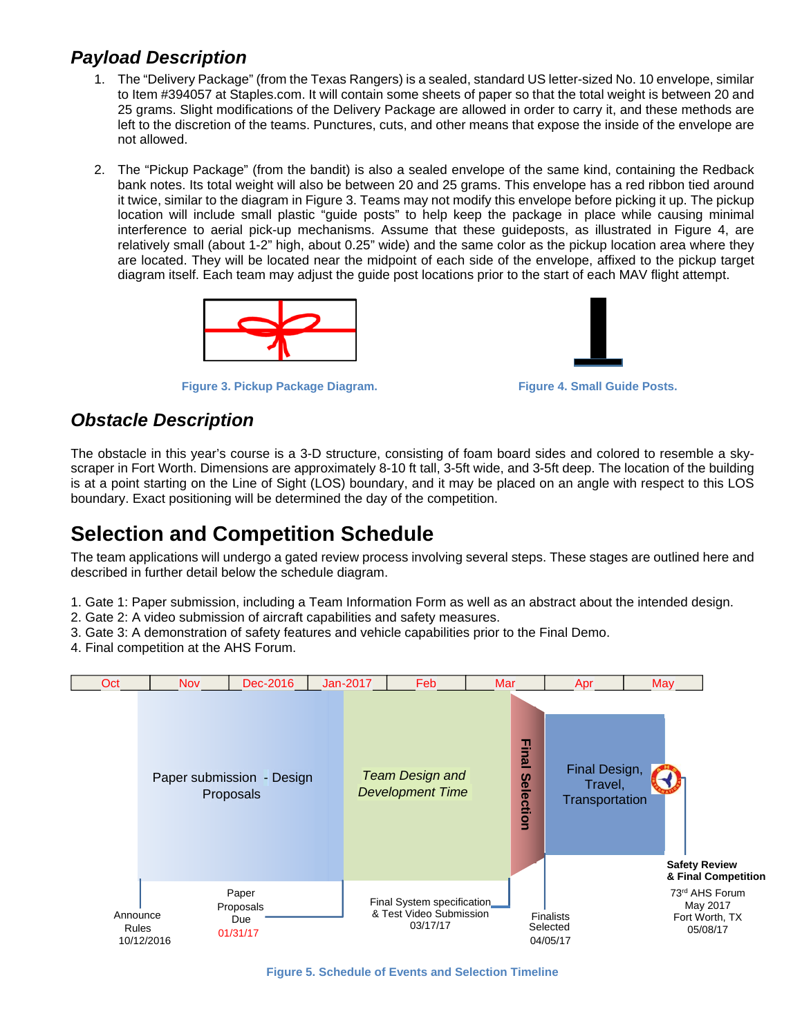### *Payload Description*

- 1. The "Delivery Package" (from the Texas Rangers) is a sealed, standard US letter-sized No. 10 envelope, similar to Item #394057 at Staples.com. It will contain some sheets of paper so that the total weight is between 20 and 25 grams. Slight modifications of the Delivery Package are allowed in order to carry it, and these methods are left to the discretion of the teams. Punctures, cuts, and other means that expose the inside of the envelope are not allowed.
- 2. The "Pickup Package" (from the bandit) is also a sealed envelope of the same kind, containing the Redback bank notes. Its total weight will also be between 20 and 25 grams. This envelope has a red ribbon tied around it twice, similar to the diagram in Figure 3. Teams may not modify this envelope before picking it up. The pickup location will include small plastic "guide posts" to help keep the package in place while causing minimal interference to aerial pick-up mechanisms. Assume that these guideposts, as illustrated in Figure 4, are relatively small (about 1-2" high, about 0.25" wide) and the same color as the pickup location area where they are located. They will be located near the midpoint of each side of the envelope, affixed to the pickup target diagram itself. Each team may adjust the guide post locations prior to the start of each MAV flight attempt.



**Figure 3. Pickup Package Diagram. Figure 4. Small Guide Posts.**



### *Obstacle Description*

The obstacle in this year's course is a 3-D structure, consisting of foam board sides and colored to resemble a skyscraper in Fort Worth. Dimensions are approximately 8-10 ft tall, 3-5ft wide, and 3-5ft deep. The location of the building is at a point starting on the Line of Sight (LOS) boundary, and it may be placed on an angle with respect to this LOS boundary. Exact positioning will be determined the day of the competition.

# **Selection and Competition Schedule**

The team applications will undergo a gated review process involving several steps. These stages are outlined here and described in further detail below the schedule diagram.

- 1. Gate 1: Paper submission, including a Team Information Form as well as an abstract about the intended design.
- 2. Gate 2: A video submission of aircraft capabilities and safety measures.
- 3. Gate 3: A demonstration of safety features and vehicle capabilities prior to the Final Demo.
- 4. Final competition at the AHS Forum.



**Figure 5. Schedule of Events and Selection Timeline**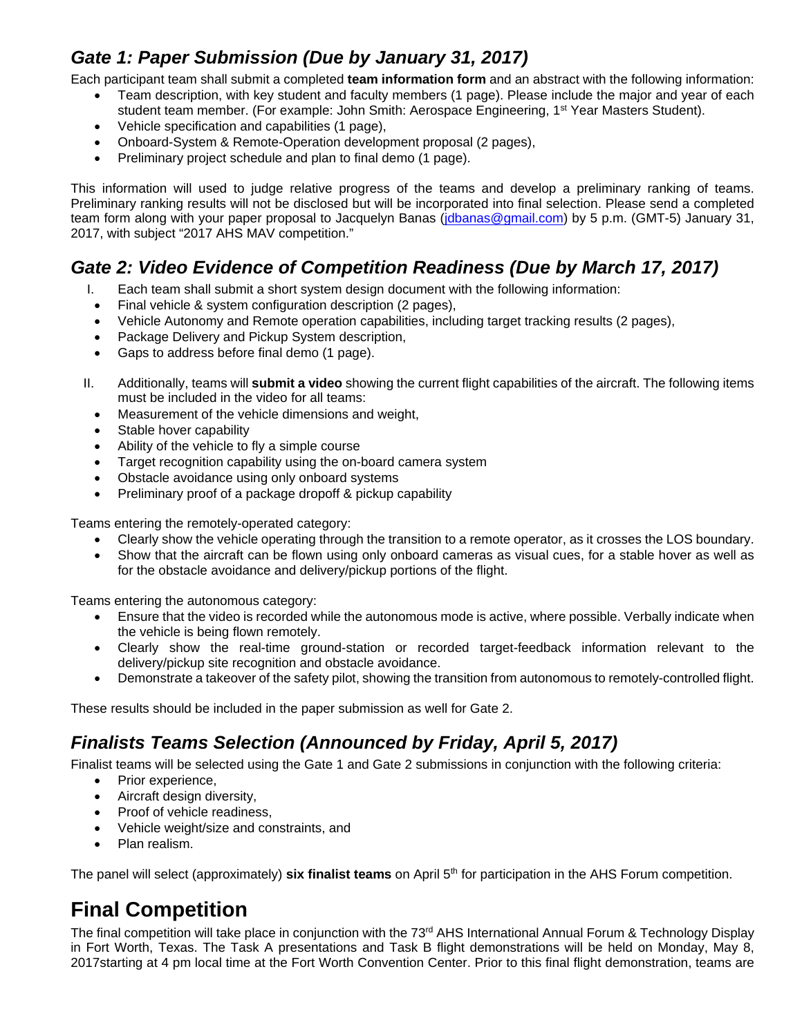## *Gate 1: Paper Submission (Due by January 31, 2017)*

Each participant team shall submit a completed **team information form** and an abstract with the following information:

- Team description, with key student and faculty members (1 page). Please include the major and year of each student team member. (For example: John Smith: Aerospace Engineering, 1<sup>st</sup> Year Masters Student).
- Vehicle specification and capabilities (1 page),
- Onboard-System & Remote-Operation development proposal (2 pages),
- Preliminary project schedule and plan to final demo (1 page).

This information will used to judge relative progress of the teams and develop a preliminary ranking of teams. Preliminary ranking results will not be disclosed but will be incorporated into final selection. Please send a completed team form along with your paper proposal to Jacquelyn Banas (jdbanas@gmail.com) by 5 p.m. (GMT-5) January 31, 2017, with subject "2017 AHS MAV competition."

## Gate 2: Video Evidence of Competition Readiness (Due by March 17, 2017)

- I. Each team shall submit a short system design document with the following information:
- Final vehicle & system configuration description (2 pages),
- Vehicle Autonomy and Remote operation capabilities, including target tracking results (2 pages),
- Package Delivery and Pickup System description,
- Gaps to address before final demo (1 page).
- II. Additionally, teams will **submit a video** showing the current flight capabilities of the aircraft. The following items must be included in the video for all teams:
	- Measurement of the vehicle dimensions and weight,
	- Stable hover capability
	- Ability of the vehicle to fly a simple course
	- Target recognition capability using the on-board camera system
	- Obstacle avoidance using only onboard systems
	- Preliminary proof of a package dropoff & pickup capability

Teams entering the remotely-operated category:

- Clearly show the vehicle operating through the transition to a remote operator, as it crosses the LOS boundary.
- Show that the aircraft can be flown using only onboard cameras as visual cues, for a stable hover as well as for the obstacle avoidance and delivery/pickup portions of the flight.

Teams entering the autonomous category:

- Ensure that the video is recorded while the autonomous mode is active, where possible. Verbally indicate when the vehicle is being flown remotely.
- Clearly show the real-time ground-station or recorded target-feedback information relevant to the delivery/pickup site recognition and obstacle avoidance.
- Demonstrate a takeover of the safety pilot, showing the transition from autonomous to remotely-controlled flight.

These results should be included in the paper submission as well for Gate 2.

## *Finalists Teams Selection (Announced by Friday, April 5, 2017)*

Finalist teams will be selected using the Gate 1 and Gate 2 submissions in conjunction with the following criteria:

- Prior experience.
- Aircraft design diversity,
- Proof of vehicle readiness,
- Vehicle weight/size and constraints, and
- Plan realism.

The panel will select (approximately) **six finalist teams** on April 5th for participation in the AHS Forum competition.

# **Final Competition**

The final competition will take place in conjunction with the 73<sup>rd</sup> AHS International Annual Forum & Technology Display in Fort Worth, Texas. The Task A presentations and Task B flight demonstrations will be held on Monday, May 8, 2017starting at 4 pm local time at the Fort Worth Convention Center. Prior to this final flight demonstration, teams are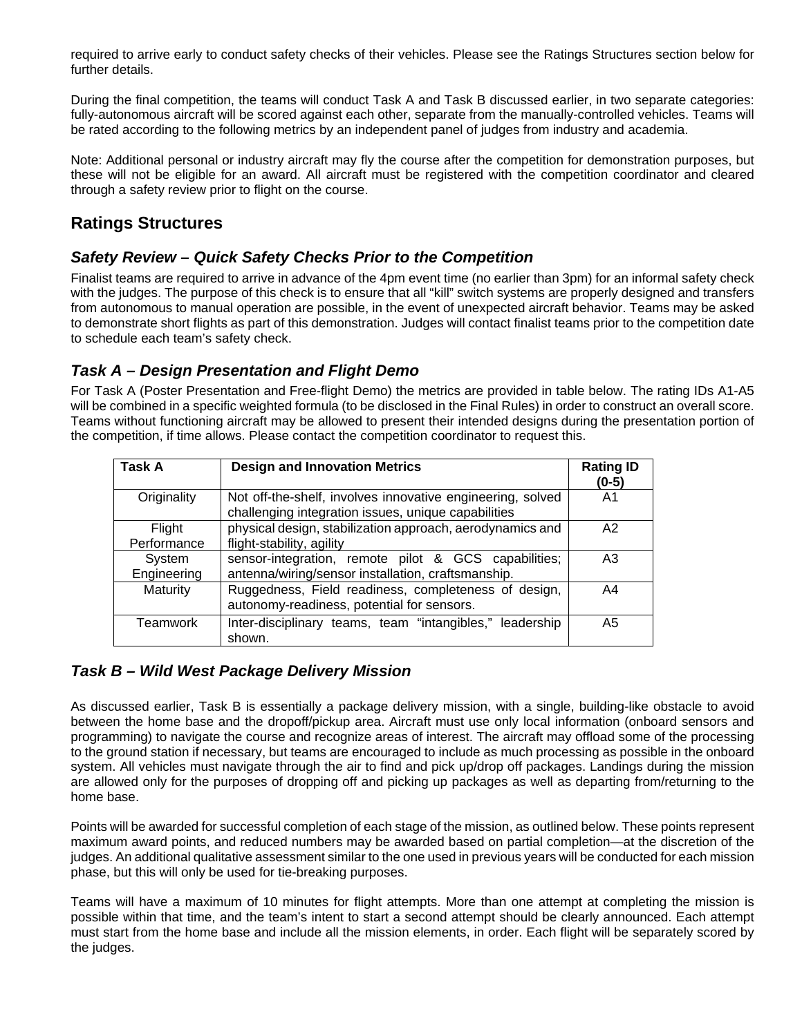required to arrive early to conduct safety checks of their vehicles. Please see the Ratings Structures section below for further details.

During the final competition, the teams will conduct Task A and Task B discussed earlier, in two separate categories: fully-autonomous aircraft will be scored against each other, separate from the manually-controlled vehicles. Teams will be rated according to the following metrics by an independent panel of judges from industry and academia.

Note: Additional personal or industry aircraft may fly the course after the competition for demonstration purposes, but these will not be eligible for an award. All aircraft must be registered with the competition coordinator and cleared through a safety review prior to flight on the course.

#### **Ratings Structures**

#### *Safety Review – Quick Safety Checks Prior to the Competition*

Finalist teams are required to arrive in advance of the 4pm event time (no earlier than 3pm) for an informal safety check with the judges. The purpose of this check is to ensure that all "kill" switch systems are properly designed and transfers from autonomous to manual operation are possible, in the event of unexpected aircraft behavior. Teams may be asked to demonstrate short flights as part of this demonstration. Judges will contact finalist teams prior to the competition date to schedule each team's safety check.

#### *Task A – Design Presentation and Flight Demo*

For Task A (Poster Presentation and Free-flight Demo) the metrics are provided in table below. The rating IDs A1-A5 will be combined in a specific weighted formula (to be disclosed in the Final Rules) in order to construct an overall score. Teams without functioning aircraft may be allowed to present their intended designs during the presentation portion of the competition, if time allows. Please contact the competition coordinator to request this.

| Task A                | <b>Design and Innovation Metrics</b>                                                                              | <b>Rating ID</b><br>$(0-5)$ |
|-----------------------|-------------------------------------------------------------------------------------------------------------------|-----------------------------|
| Originality           | Not off-the-shelf, involves innovative engineering, solved<br>challenging integration issues, unique capabilities | A1                          |
| Flight<br>Performance | physical design, stabilization approach, aerodynamics and<br>flight-stability, agility                            | A2                          |
| System<br>Engineering | sensor-integration, remote pilot & GCS capabilities;<br>antenna/wiring/sensor installation, craftsmanship.        | A <sub>3</sub>              |
| Maturity              | Ruggedness, Field readiness, completeness of design,<br>autonomy-readiness, potential for sensors.                | A <sub>4</sub>              |
| Teamwork              | Inter-disciplinary teams, team "intangibles," leadership<br>shown.                                                | A <sub>5</sub>              |

#### *Task B – Wild West Package Delivery Mission*

As discussed earlier, Task B is essentially a package delivery mission, with a single, building-like obstacle to avoid between the home base and the dropoff/pickup area. Aircraft must use only local information (onboard sensors and programming) to navigate the course and recognize areas of interest. The aircraft may offload some of the processing to the ground station if necessary, but teams are encouraged to include as much processing as possible in the onboard system. All vehicles must navigate through the air to find and pick up/drop off packages. Landings during the mission are allowed only for the purposes of dropping off and picking up packages as well as departing from/returning to the home base.

Points will be awarded for successful completion of each stage of the mission, as outlined below. These points represent maximum award points, and reduced numbers may be awarded based on partial completion—at the discretion of the judges. An additional qualitative assessment similar to the one used in previous years will be conducted for each mission phase, but this will only be used for tie-breaking purposes.

Teams will have a maximum of 10 minutes for flight attempts. More than one attempt at completing the mission is possible within that time, and the team's intent to start a second attempt should be clearly announced. Each attempt must start from the home base and include all the mission elements, in order. Each flight will be separately scored by the judges.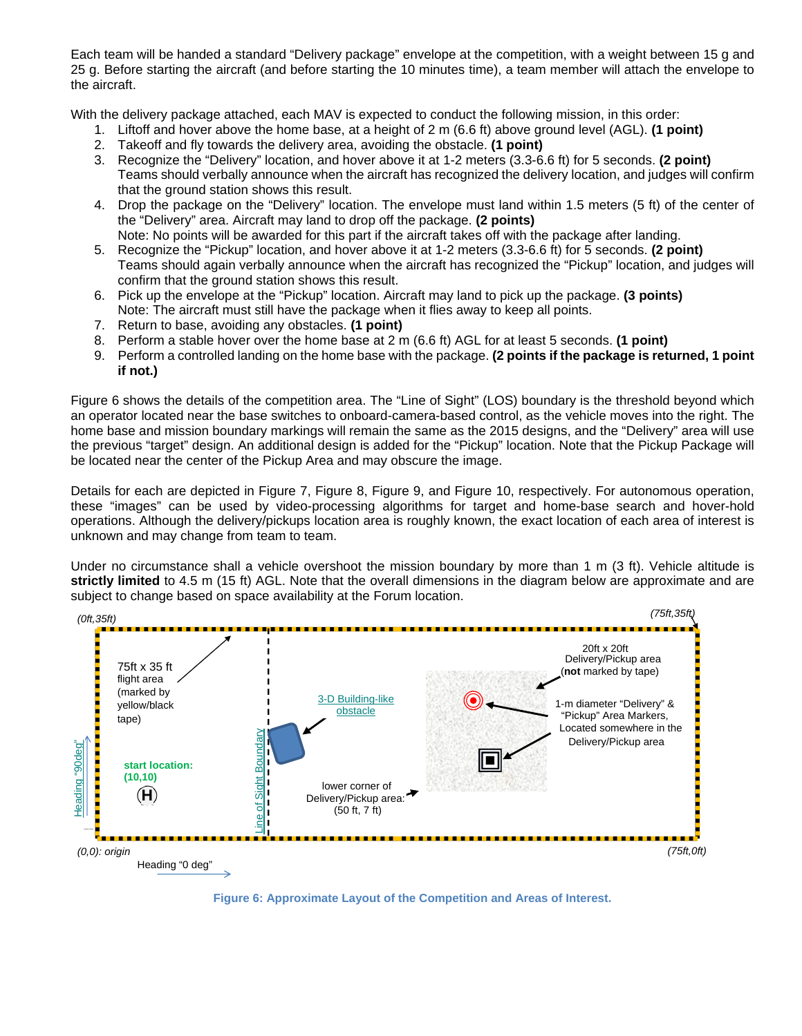Each team will be handed a standard "Delivery package" envelope at the competition, with a weight between 15 g and 25 g. Before starting the aircraft (and before starting the 10 minutes time), a team member will attach the envelope to the aircraft.

With the delivery package attached, each MAV is expected to conduct the following mission, in this order:

- 1. Liftoff and hover above the home base, at a height of 2 m (6.6 ft) above ground level (AGL). **(1 point)**
- 2. Takeoff and fly towards the delivery area, avoiding the obstacle. **(1 point)**
- 3. Recognize the "Delivery" location, and hover above it at 1-2 meters (3.3-6.6 ft) for 5 seconds. **(2 point)** Teams should verbally announce when the aircraft has recognized the delivery location, and judges will confirm that the ground station shows this result.
- 4. Drop the package on the "Delivery" location. The envelope must land within 1.5 meters (5 ft) of the center of the "Delivery" area. Aircraft may land to drop off the package. **(2 points)** Note: No points will be awarded for this part if the aircraft takes off with the package after landing.
- 5. Recognize the "Pickup" location, and hover above it at 1-2 meters (3.3-6.6 ft) for 5 seconds. **(2 point)** Teams should again verbally announce when the aircraft has recognized the "Pickup" location, and judges will confirm that the ground station shows this result.
- 6. Pick up the envelope at the "Pickup" location. Aircraft may land to pick up the package. **(3 points)** Note: The aircraft must still have the package when it flies away to keep all points.
- 7. Return to base, avoiding any obstacles. **(1 point)**
- 8. Perform a stable hover over the home base at 2 m (6.6 ft) AGL for at least 5 seconds. **(1 point)**
- 9. Perform a controlled landing on the home base with the package. **(2 points if the package is returned, 1 point if not.)**

Figure 6 shows the details of the competition area. The "Line of Sight" (LOS) boundary is the threshold beyond which an operator located near the base switches to onboard-camera-based control, as the vehicle moves into the right. The home base and mission boundary markings will remain the same as the 2015 designs, and the "Delivery" area will use the previous "target" design. An additional design is added for the "Pickup" location. Note that the Pickup Package will be located near the center of the Pickup Area and may obscure the image.

Details for each are depicted in Figure 7, Figure 8, Figure 9, and Figure 10, respectively. For autonomous operation, these "images" can be used by video-processing algorithms for target and home-base search and hover-hold operations. Although the delivery/pickups location area is roughly known, the exact location of each area of interest is unknown and may change from team to team.

Under no circumstance shall a vehicle overshoot the mission boundary by more than 1 m (3 ft). Vehicle altitude is **strictly limited** to 4.5 m (15 ft) AGL. Note that the overall dimensions in the diagram below are approximate and are subject to change based on space availability at the Forum location.



**Figure 6: Approximate Layout of the Competition and Areas of Interest.**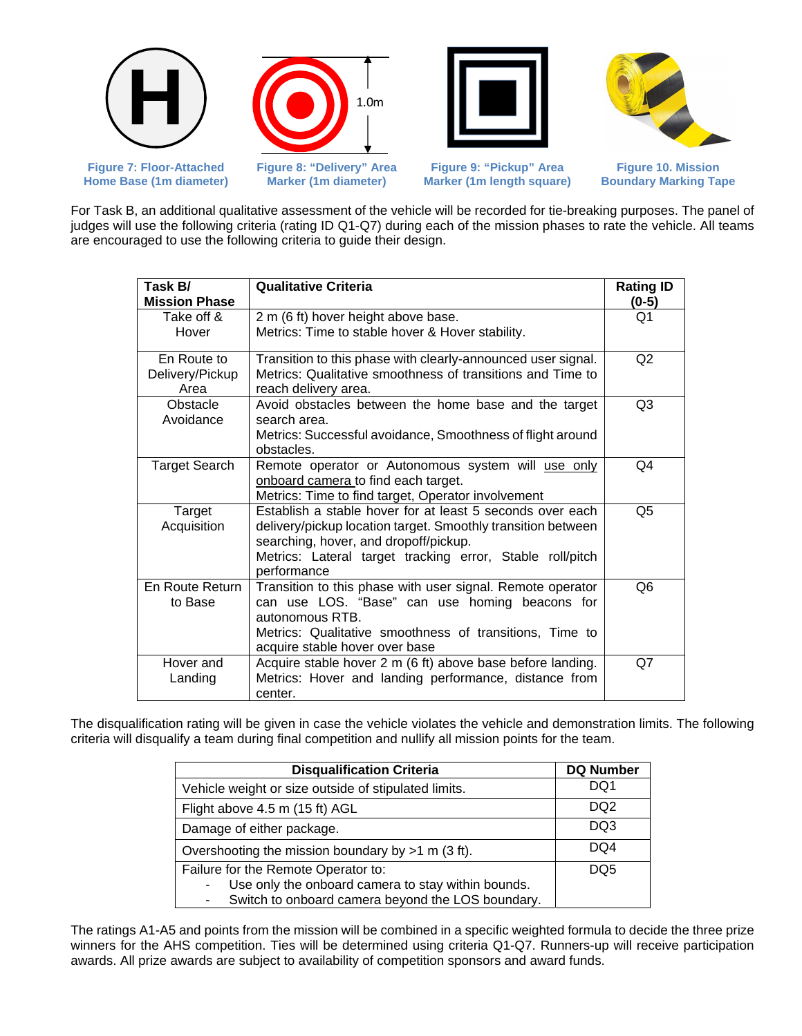







**Figure 7: Floor-Attached Home Base (1m diameter)**  **Marker (1m diameter)**

**Figure 9: "Pickup" Area Marker (1m length square)**

**Figure 10. Mission Boundary Marking Tape**

For Task B, an additional qualitative assessment of the vehicle will be recorded for tie-breaking purposes. The panel of judges will use the following criteria (rating ID Q1-Q7) during each of the mission phases to rate the vehicle. All teams are encouraged to use the following criteria to guide their design.

| Task B/<br><b>Mission Phase</b>        | <b>Qualitative Criteria</b>                                                                                                                                                                                                                    | <b>Rating ID</b><br>$(0-5)$ |
|----------------------------------------|------------------------------------------------------------------------------------------------------------------------------------------------------------------------------------------------------------------------------------------------|-----------------------------|
| Take off &<br>Hover                    | 2 m (6 ft) hover height above base.<br>Metrics: Time to stable hover & Hover stability.                                                                                                                                                        | Q1                          |
| En Route to<br>Delivery/Pickup<br>Area | Transition to this phase with clearly-announced user signal.<br>Metrics: Qualitative smoothness of transitions and Time to<br>reach delivery area.                                                                                             | Q2                          |
| Obstacle<br>Avoidance                  | Avoid obstacles between the home base and the target<br>search area.<br>Metrics: Successful avoidance, Smoothness of flight around<br>obstacles.                                                                                               | Q <sub>3</sub>              |
| <b>Target Search</b>                   | Remote operator or Autonomous system will use only<br>onboard camera to find each target.<br>Metrics: Time to find target, Operator involvement                                                                                                | Q4                          |
| Target<br>Acquisition                  | Establish a stable hover for at least 5 seconds over each<br>delivery/pickup location target. Smoothly transition between<br>searching, hover, and dropoff/pickup.<br>Metrics: Lateral target tracking error, Stable roll/pitch<br>performance | Q <sub>5</sub>              |
| En Route Return<br>to Base             | Transition to this phase with user signal. Remote operator<br>can use LOS. "Base" can use homing beacons for<br>autonomous RTB.<br>Metrics: Qualitative smoothness of transitions, Time to<br>acquire stable hover over base                   | Q6                          |
| Hover and<br>Landing                   | Acquire stable hover 2 m (6 ft) above base before landing.<br>Metrics: Hover and landing performance, distance from<br>center.                                                                                                                 | Q7                          |

The disqualification rating will be given in case the vehicle violates the vehicle and demonstration limits. The following criteria will disqualify a team during final competition and nullify all mission points for the team.

| <b>Disqualification Criteria</b>                                                                                                               | <b>DQ Number</b> |
|------------------------------------------------------------------------------------------------------------------------------------------------|------------------|
| Vehicle weight or size outside of stipulated limits.                                                                                           | DQ1              |
| Flight above 4.5 m (15 ft) AGL                                                                                                                 | DQ <sub>2</sub>  |
| Damage of either package.                                                                                                                      | DQ3              |
| Overshooting the mission boundary by $>1$ m (3 ft).                                                                                            | DQ4              |
| Failure for the Remote Operator to:<br>Use only the onboard camera to stay within bounds.<br>Switch to onboard camera beyond the LOS boundary. | DQ5              |

The ratings A1-A5 and points from the mission will be combined in a specific weighted formula to decide the three prize winners for the AHS competition. Ties will be determined using criteria Q1-Q7. Runners-up will receive participation awards. All prize awards are subject to availability of competition sponsors and award funds.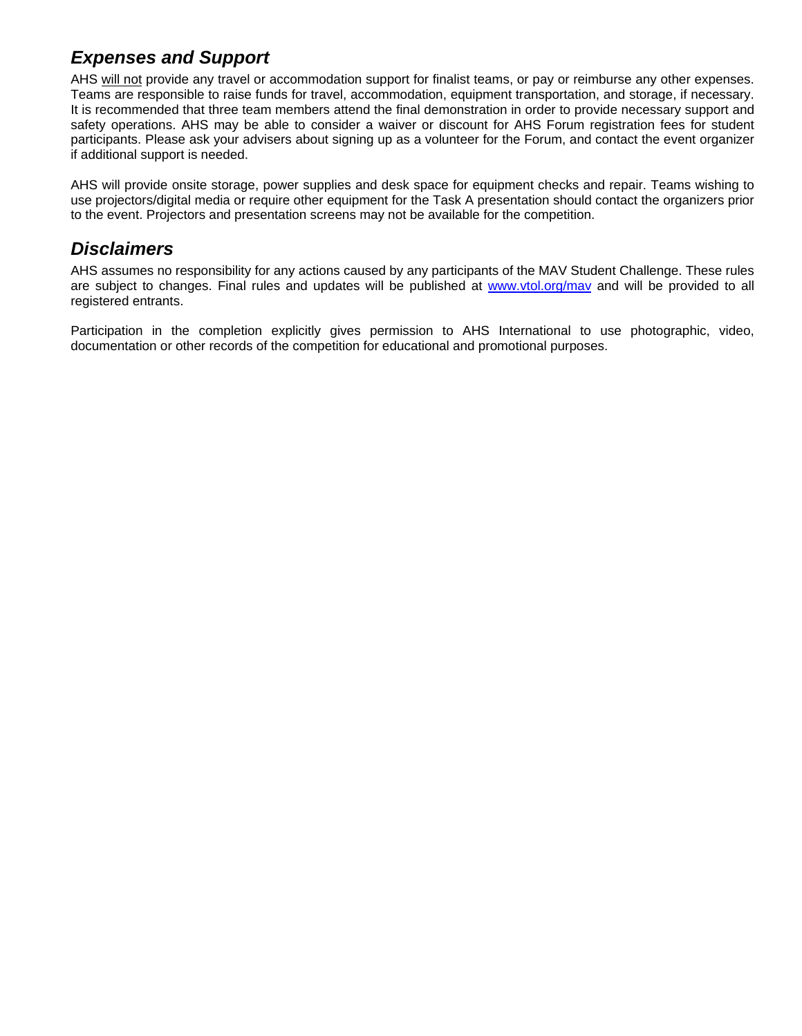## *Expenses and Support*

AHS will not provide any travel or accommodation support for finalist teams, or pay or reimburse any other expenses. Teams are responsible to raise funds for travel, accommodation, equipment transportation, and storage, if necessary. It is recommended that three team members attend the final demonstration in order to provide necessary support and safety operations. AHS may be able to consider a waiver or discount for AHS Forum registration fees for student participants. Please ask your advisers about signing up as a volunteer for the Forum, and contact the event organizer if additional support is needed.

AHS will provide onsite storage, power supplies and desk space for equipment checks and repair. Teams wishing to use projectors/digital media or require other equipment for the Task A presentation should contact the organizers prior to the event. Projectors and presentation screens may not be available for the competition.

### *Disclaimers*

AHS assumes no responsibility for any actions caused by any participants of the MAV Student Challenge. These rules are subject to changes. Final rules and updates will be published at www.vtol.org/mav and will be provided to all registered entrants.

Participation in the completion explicitly gives permission to AHS International to use photographic, video, documentation or other records of the competition for educational and promotional purposes.